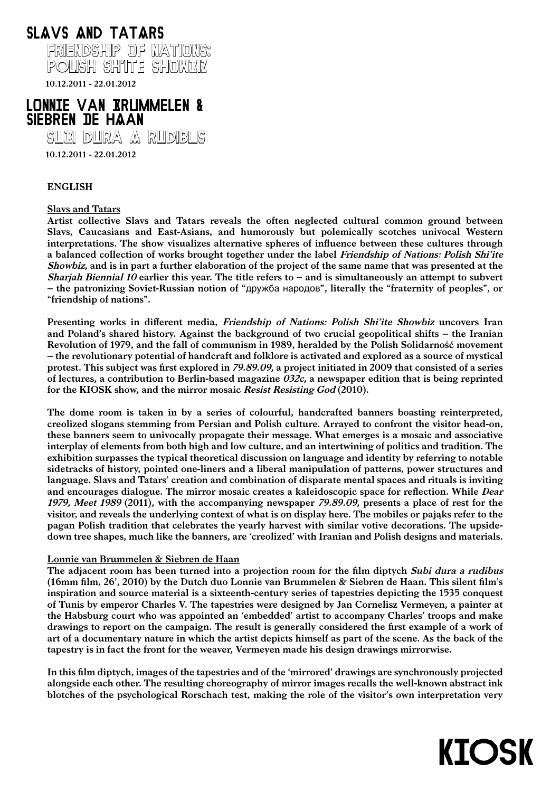

10.12.2011 - 22.01.2012

# LONNIE VAN BRUMMELEN & sieBren De HAan

subi dura A RudiBus

10.12.2011 - 22.01.2012

# ENGLISH

# Slavs and Tatars

Artist collective Slavs and Tatars reveals the often neglected cultural common ground between Slavs, Caucasians and East-Asians, and humorously but polemically scotches univocal Western interpretations. The show visualizes alternative spheres of influence between these cultures through a balanced collection of works brought together under the label Friendship of Nations: Polish Shi'ite Showbiz, and is in part a further elaboration of the project of the same name that was presented at the Sharjah Biennial 10 earlier this year. The title refers to – and is simultaneously an attempt to subvert – the patronizing Soviet-Russian notion of "дружба народов", literally the "fraternity of peoples", or "friendship of nations".

Presenting works in different media, Friendship of Nations: Polish Shi'ite Showbiz uncovers Iran and Poland's shared history. Against the background of two crucial geopolitical shifts – the Iranian Revolution of 1979, and the fall of communism in 1989, heralded by the Polish Solidarność movement – the revolutionary potential of handcraft and folklore is activated and explored as a source of mystical protest. This subject was first explored in 79.89.09, a project initiated in 2009 that consisted of a series of lectures, a contribution to Berlin-based magazine  $032c$ , a newspaper edition that is being reprinted for the KIOSK show, and the mirror mosaic Resist Resisting God (2010).

The dome room is taken in by a series of colourful, handcrafted banners boasting reinterpreted, creolized slogans stemming from Persian and Polish culture. Arrayed to confront the visitor head-on, these banners seem to univocally propagate their message. What emerges is a mosaic and associative interplay of elements from both high and low culture, and an intertwining of politics and tradition. The exhibition surpasses the typical theoretical discussion on language and identity by referring to notable sidetracks of history, pointed one-liners and a liberal manipulation of patterns, power structures and language. Slavs and Tatars' creation and combination of disparate mental spaces and rituals is inviting and encourages dialogue. The mirror mosaic creates a kaleidoscopic space for reflection. While Dear 1979, Meet 1989 (2011), with the accompanying newspaper 79.89.09, presents a place of rest for the visitor, and reveals the underlying context of what is on display here. The mobiles or pająks refer to the pagan Polish tradition that celebrates the yearly harvest with similar votive decorations. The upsidedown tree shapes, much like the banners, are 'creolized' with Iranian and Polish designs and materials.

### Lonnie van Brummelen & Siebren de Haan

The adjacent room has been turned into a projection room for the film diptych Subi dura a rudibus (16mm film, 26', 2010) by the Dutch duo Lonnie van Brummelen & Siebren de Haan. This silent film's inspiration and source material is a sixteenth-century series of tapestries depicting the 1535 conquest of Tunis by emperor Charles V. The tapestries were designed by Jan Cornelisz Vermeyen, a painter at the Habsburg court who was appointed an 'embedded' artist to accompany Charles' troops and make drawings to report on the campaign. The result is generally considered the first example of a work of art of a documentary nature in which the artist depicts himself as part of the scene. As the back of the tapestry is in fact the front for the weaver, Vermeyen made his design drawings mirrorwise.

In this film diptych, images of the tapestries and of the 'mirrored' drawings are synchronously projected alongside each other. The resulting choreography of mirror images recalls the well-known abstract ink blotches of the psychological Rorschach test, making the role of the visitor's own interpretation very